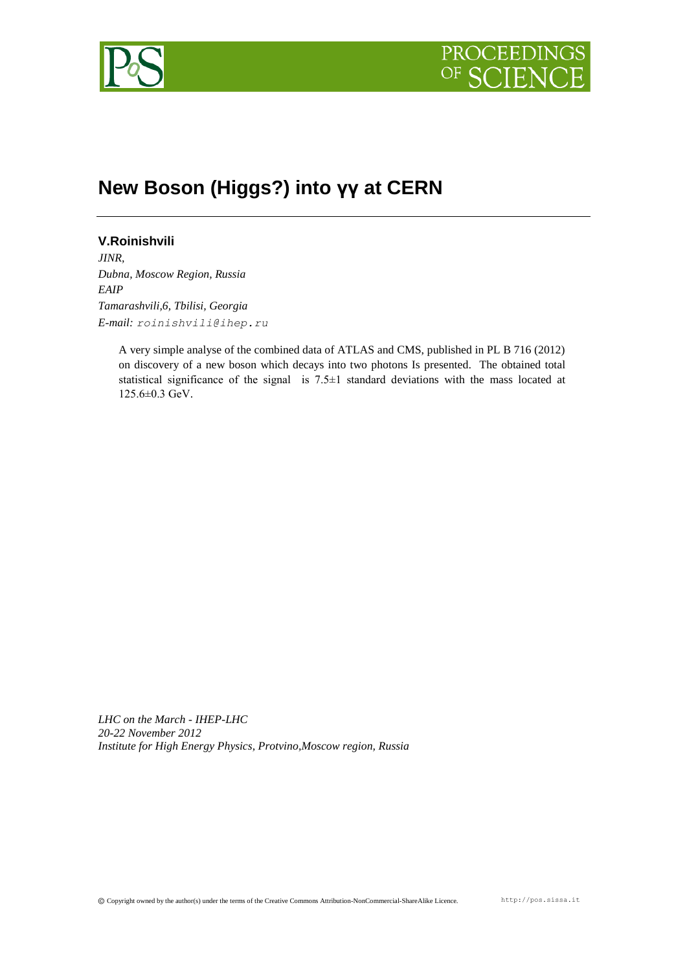



## **New Boson (Higgs?) into γγ at CERN**

## **V.Roinishvili**

*JINR, Dubna, Moscow Region, Russia EAIP Tamarashvili,6, Tbilisi, Georgia E-mail: roinishvili@ihep.ru*

> A very simple analyse of the combined data of ATLAS and CMS, published in PL B 716 (2012) on discovery of a new boson which decays into two photons Is presented. The obtained total statistical significance of the signal is 7.5±1 standard deviations with the mass located at 125.6±0.3 GeV.

*LHC on the March - IHEP-LHC 20-22 November 2012 Institute for High Energy Physics, Protvino,Moscow region, Russia*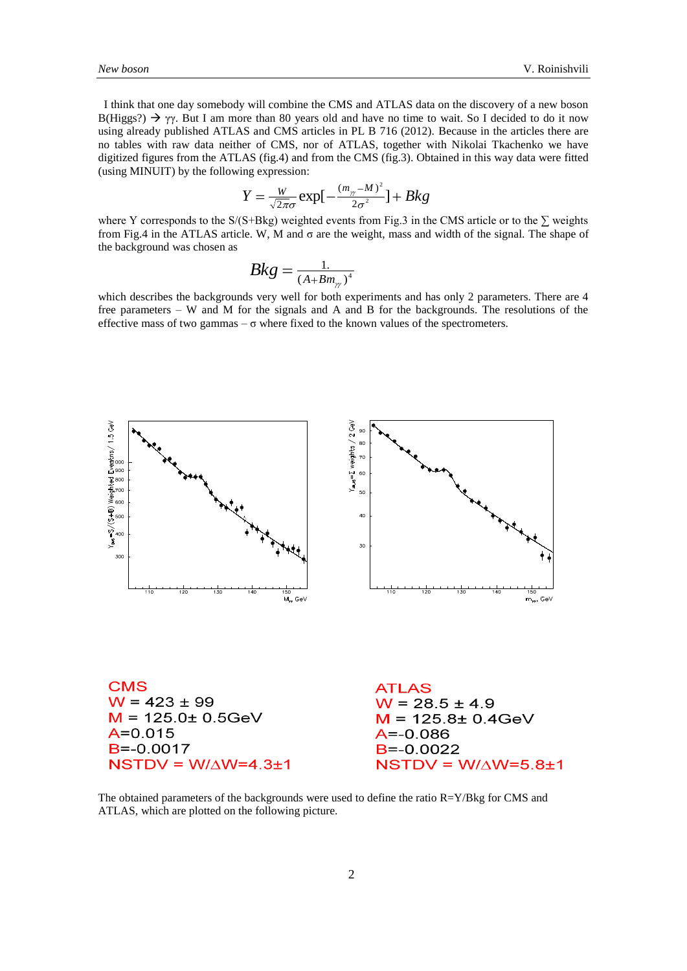I think that one day somebody will combine the CMS and ATLAS data on the discovery of a new boson B(Higgs?)  $\rightarrow \gamma \gamma$ . But I am more than 80 years old and have no time to wait. So I decided to do it now using already published ATLAS and CMS articles in PL B 716 (2012). Because in the articles there are no tables with raw data neither of CMS, nor of ATLAS, together with Nikolai Tkachenko we have digitized figures from the ATLAS (fig.4) and from the CMS (fig.3). Obtained in this way data were fitted (using MINUIT) by the following expression:

$$
Y = \frac{W}{\sqrt{2\pi}\sigma} \exp\left[-\frac{(m_{\gamma} - M)^2}{2\sigma^2}\right] + Bkg
$$

where Y corresponds to the S/(S+Bkg) weighted events from Fig.3 in the CMS article or to the ∑ weights from Fig.4 in the ATLAS article. W, M and σ are the weight, mass and width of the signal. The shape of the background was chosen as

$$
Bkg = \frac{1}{\left(A + Bm_{\gamma}\right)^4}
$$

which describes the backgrounds very well for both experiments and has only 2 parameters. There are 4 free parameters – W and M for the signals and A and B for the backgrounds. The resolutions of the effective mass of two gammas  $-\sigma$  where fixed to the known values of the spectrometers.



The obtained parameters of the backgrounds were used to define the ratio R=Y/Bkg for CMS and ATLAS, which are plotted on the following picture.